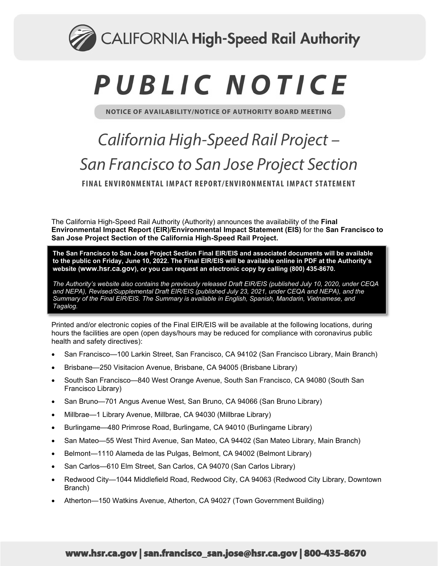

# PUBLIC NOTICE

**NOTICE OF AVAILABILITY/NOTICE OF AUTHORITY BOARD MEETING**

## *California High-Speed Rail Project – San Francisco to San Jose Project Section* **FINAL ENVIRONMENTAL IMPACT REPORT/ENVIRONMENTAL IMPACT STATEMENT**

The California High-Speed Rail Authority (Authority) announces the availability of the **Final Environmental Impact Report (EIR)/Environmental Impact Statement (EIS)** for the **San Francisco to San Jose Project Section of the California High-Speed Rail Project.**

**The San Francisco to San Jose Project Section Final EIR/EIS and associated documents will be available to the public on Friday, June 10, 2022. The Final EIR/EIS will be available online in PDF at the Authority's website [\(www.hsr.ca.gov\)](http://www.hsr.ca.gov/), or you can request an electronic copy by calling (800) 435-8670.**

*The Authority's website also contains the previously released Draft EIR/EIS (published July 10, 2020, under CEQA and NEPA), Revised/Supplemental Draft EIR/EIS (published July 23, 2021, under CEQA and NEPA), and the Summary of the Final EIR/EIS. The Summary is available in English, Spanish, Mandarin, Vietnamese, and Tagalog.*

Printed and/or electronic copies of the Final EIR/EIS will be available at the following locations, during hours the facilities are open (open days/hours may be reduced for compliance with coronavirus public health and safety directives):

- San Francisco—100 Larkin Street, San Francisco, CA 94102 (San Francisco Library, Main Branch)
- Brisbane—250 Visitacion Avenue, Brisbane, CA 94005 (Brisbane Library)
- South San Francisco—840 West Orange Avenue, South San Francisco, CA 94080 (South San Francisco Library)
- San Bruno—701 Angus Avenue West, San Bruno, CA 94066 (San Bruno Library)
- Millbrae—1 Library Avenue, Millbrae, CA 94030 (Millbrae Library)
- Burlingame—480 Primrose Road, Burlingame, CA 94010 (Burlingame Library)
- San Mateo—55 West Third Avenue, San Mateo, CA 94402 (San Mateo Library, Main Branch)
- Belmont—1110 Alameda de las Pulgas, Belmont, CA 94002 (Belmont Library)
- San Carlos—610 Elm Street, San Carlos, CA 94070 (San Carlos Library)
- Redwood City—1044 Middlefield Road, Redwood City, CA 94063 (Redwood City Library, Downtown Branch)
- Atherton—150 Watkins Avenue, Atherton, CA 94027 (Town Government Building)

### www.hsr.ca.gov | san.francisco\_san.jose@hsr.ca.gov | 800-435-8670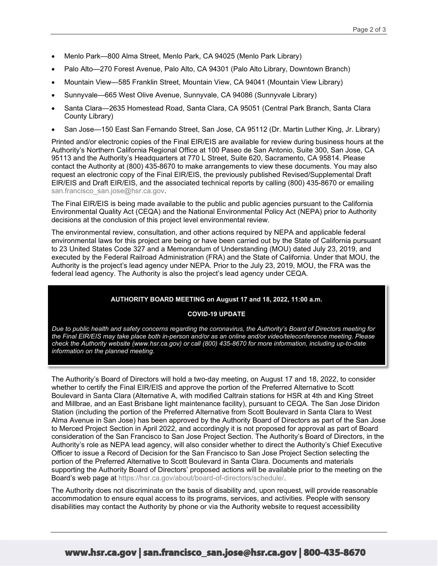- Menlo Park—800 Alma Street, Menlo Park, CA 94025 (Menlo Park Library)
- Palo Alto—270 Forest Avenue, Palo Alto, CA 94301 (Palo Alto Library, Downtown Branch)
- Mountain View—585 Franklin Street, Mountain View, CA 94041 (Mountain View Library)
- Sunnyvale—665 West Olive Avenue, Sunnyvale, CA 94086 (Sunnyvale Library)
- Santa Clara—2635 Homestead Road, Santa Clara, CA 95051 (Central Park Branch, Santa Clara County Library)
- San Jose—150 East San Fernando Street, San Jose, CA 95112 (Dr. Martin Luther King, Jr. Library)

Printed and/or electronic copies of the Final EIR/EIS are available for review during business hours at the Authority's Northern California Regional Office at 100 Paseo de San Antonio, Suite 300, San Jose, CA 95113 and the Authority's Headquarters at 770 L Street, Suite 620, Sacramento, CA 95814. Please contact the Authority at (800) 435-8670 to make arrangements to view these documents. You may also request an electronic copy of the Final EIR/EIS, the previously published Revised/Supplemental Draft EIR/EIS and Draft EIR/EIS, and the associated technical reports by calling (800) 435-8670 or emailing [san.francisco\\_san.jose@hsr.ca.gov.](mailto:san.francisco_san.jose@hsr.ca.gov)

The Final EIR/EIS is being made available to the public and public agencies pursuant to the California Environmental Quality Act (CEQA) and the National Environmental Policy Act (NEPA) prior to Authority decisions at the conclusion of this project level environmental review.

The environmental review, consultation, and other actions required by NEPA and applicable federal environmental laws for this project are being or have been carried out by the State of California pursuant to 23 United States Code 327 and a Memorandum of Understanding (MOU) dated July 23, 2019, and executed by the Federal Railroad Administration (FRA) and the State of California. Under that MOU, the Authority is the project's lead agency under NEPA. Prior to the July 23, 2019, MOU, the FRA was the federal lead agency. The Authority is also the project's lead agency under CEQA.

#### **AUTHORITY BOARD MEETING on August 17 and 18, 2022, 11:00 a.m.**

#### **COVID-19 UPDATE**

*Due to public health and safety concerns regarding the coronavirus, the Authority's Board of Directors meeting for the Final EIR/EIS may take place both in-person and/or as an online and/or video/teleconference meeting. Please check the Authority website [\(www.hsr.ca.gov\)](http://www.hsr.ca.gov/) or call (800) 435-8670 for more information, including up-to-date information on the planned meeting.*

The Authority's Board of Directors will hold a two-day meeting, on August 17 and 18, 2022, to consider whether to certify the Final EIR/EIS and approve the portion of the Preferred Alternative to Scott Boulevard in Santa Clara (Alternative A, with modified Caltrain stations for HSR at 4th and King Street and Millbrae, and an East Brisbane light maintenance facility), pursuant to CEQA. The San Jose Diridon Station (including the portion of the Preferred Alternative from Scott Boulevard in Santa Clara to West Alma Avenue in San Jose) has been approved by the Authority Board of Directors as part of the San Jose to Merced Project Section in April 2022, and accordingly it is not proposed for approval as part of Board consideration of the San Francisco to San Jose Project Section. The Authority's Board of Directors, in the Authority's role as NEPA lead agency, will also consider whether to direct the Authority's Chief Executive Officer to issue a Record of Decision for the San Francisco to San Jose Project Section selecting the portion of the Preferred Alternative to Scott Boulevard in Santa Clara. Documents and materials supporting the Authority Board of Directors' proposed actions will be available prior to the meeting on the Board's web page at [https://hsr.ca.gov/about/board-of-directors/schedule/.](https://hsr.ca.gov/about/board-of-directors/schedule/)

The Authority does not discriminate on the basis of disability and, upon request, will provide reasonable accommodation to ensure equal access to its programs, services, and activities. People with sensory disabilities may contact the Authority by phone or via the Authority website to request accessibility